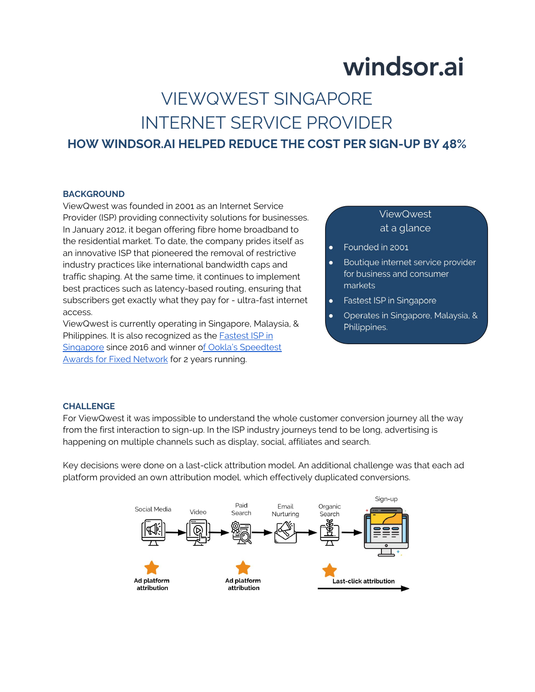## windsor.ai

### VIEWQWEST SINGAPORE INTERNET SERVICE PROVIDER **HOW WINDSOR.AI HELPED REDUCE THE COST PER SIGN-UP BY 48%**

#### **BACKGROUND**

ViewQwest was founded in 2001 as an Internet Service Provider (ISP) providing connectivity solutions for businesses. In January 2012, it began offering fibre home broadband to the residential market. To date, the company prides itself as an innovative ISP that pioneered the removal of restrictive industry practices like international bandwidth caps and traffic shaping. At the same time, it continues to implement best practices such as latency-based routing, ensuring that subscribers get exactly what they pay for - ultra-fast internet access.

ViewQwest is currently operating in Singapore, Malaysia, & Philippines. It is also recognized as the **Fastest ISP** in [Singapore](http://www.speedtest.net/reports/singapore/) since 2016 and winner [of Ookla's Speedtest](https://www.speedtest.net/awards/viewqwest/)  [Awards for Fixed Network](https://www.speedtest.net/awards/viewqwest/) for 2 years running.

### **ViewQwest** at a glance

- Founded in 2001  $\bullet$
- Boutique internet service provider  $\bullet$ for business and consumer markets
- Fastest ISP in Singapore  $\bullet$
- Operates in Singapore, Malaysia, & Philippines.

#### **CHALLENGE**

For ViewQwest it was impossible to understand the whole customer conversion journey all the way from the first interaction to sign-up. In the ISP industry journeys tend to be long, advertising is happening on multiple channels such as display, social, affiliates and search.

Key decisions were done on a last-click attribution model. An additional challenge was that each ad platform provided an own attribution model, which effectively duplicated conversions.